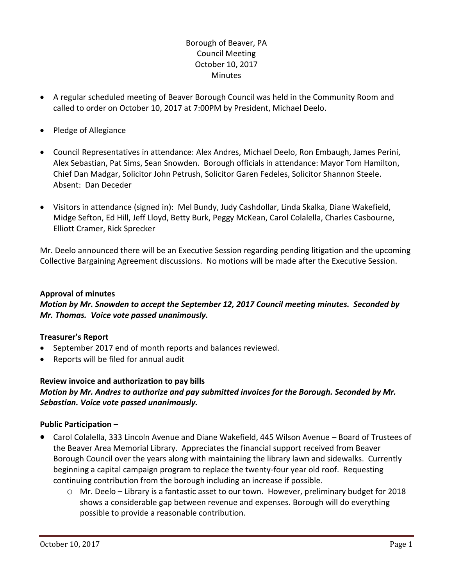# Borough of Beaver, PA Council Meeting October 10, 2017 **Minutes**

- A regular scheduled meeting of Beaver Borough Council was held in the Community Room and called to order on October 10, 2017 at 7:00PM by President, Michael Deelo.
- Pledge of Allegiance
- Council Representatives in attendance: Alex Andres, Michael Deelo, Ron Embaugh, James Perini, Alex Sebastian, Pat Sims, Sean Snowden. Borough officials in attendance: Mayor Tom Hamilton, Chief Dan Madgar, Solicitor John Petrush, Solicitor Garen Fedeles, Solicitor Shannon Steele. Absent: Dan Deceder
- Visitors in attendance (signed in): Mel Bundy, Judy Cashdollar, Linda Skalka, Diane Wakefield, Midge Sefton, Ed Hill, Jeff Lloyd, Betty Burk, Peggy McKean, Carol Colalella, Charles Casbourne, Elliott Cramer, Rick Sprecker

Mr. Deelo announced there will be an Executive Session regarding pending litigation and the upcoming Collective Bargaining Agreement discussions. No motions will be made after the Executive Session.

#### **Approval of minutes**

*Motion by Mr. Snowden to accept the September 12, 2017 Council meeting minutes. Seconded by Mr. Thomas. Voice vote passed unanimously.* 

# **Treasurer's Report**

- September 2017 end of month reports and balances reviewed.
- Reports will be filed for annual audit

# **Review invoice and authorization to pay bills**

### *Motion by Mr. Andres to authorize and pay submitted invoices for the Borough. Seconded by Mr. Sebastian. Voice vote passed unanimously.*

#### **Public Participation –**

- Carol Colalella, 333 Lincoln Avenue and Diane Wakefield, 445 Wilson Avenue Board of Trustees of the Beaver Area Memorial Library. Appreciates the financial support received from Beaver Borough Council over the years along with maintaining the library lawn and sidewalks. Currently beginning a capital campaign program to replace the twenty-four year old roof. Requesting continuing contribution from the borough including an increase if possible.
	- o Mr. Deelo Library is a fantastic asset to our town. However, preliminary budget for 2018 shows a considerable gap between revenue and expenses. Borough will do everything possible to provide a reasonable contribution.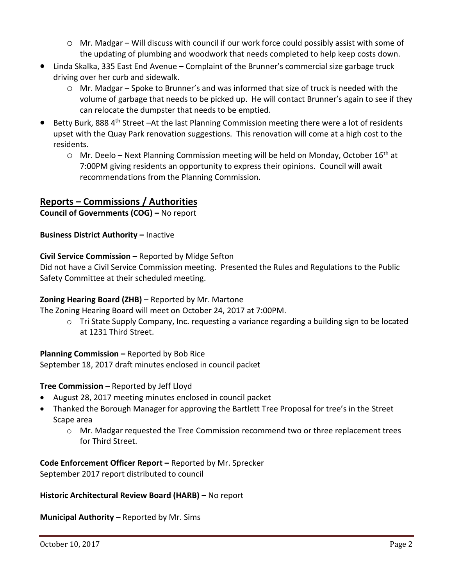- $\circ$  Mr. Madgar Will discuss with council if our work force could possibly assist with some of the updating of plumbing and woodwork that needs completed to help keep costs down.
- Linda Skalka, 335 East End Avenue Complaint of the Brunner's commercial size garbage truck driving over her curb and sidewalk.
	- o Mr. Madgar Spoke to Brunner's and was informed that size of truck is needed with the volume of garbage that needs to be picked up. He will contact Brunner's again to see if they can relocate the dumpster that needs to be emptied.
- Betty Burk, 888 4<sup>th</sup> Street –At the last Planning Commission meeting there were a lot of residents upset with the Quay Park renovation suggestions. This renovation will come at a high cost to the residents.
	- $\circ$  Mr. Deelo Next Planning Commission meeting will be held on Monday, October 16<sup>th</sup> at 7:00PM giving residents an opportunity to express their opinions. Council will await recommendations from the Planning Commission.

# **Reports – Commissions / Authorities**

**Council of Governments (COG) –** No report

**Business District Authority – Inactive** 

# **Civil Service Commission –** Reported by Midge Sefton

Did not have a Civil Service Commission meeting. Presented the Rules and Regulations to the Public Safety Committee at their scheduled meeting.

# **Zoning Hearing Board (ZHB) –** Reported by Mr. Martone

The Zoning Hearing Board will meet on October 24, 2017 at 7:00PM.

 $\circ$  Tri State Supply Company, Inc. requesting a variance regarding a building sign to be located at 1231 Third Street.

# **Planning Commission –** Reported by Bob Rice

September 18, 2017 draft minutes enclosed in council packet

# **Tree Commission –** Reported by Jeff Lloyd

- August 28, 2017 meeting minutes enclosed in council packet
- Thanked the Borough Manager for approving the Bartlett Tree Proposal for tree's in the Street Scape area
	- o Mr. Madgar requested the Tree Commission recommend two or three replacement trees for Third Street.

**Code Enforcement Officer Report –** Reported by Mr. Sprecker September 2017 report distributed to council

**Historic Architectural Review Board (HARB) –** No report

**Municipal Authority –** Reported by Mr. Sims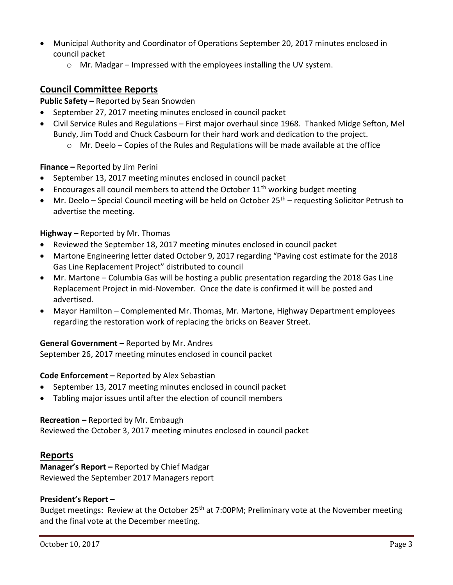- Municipal Authority and Coordinator of Operations September 20, 2017 minutes enclosed in council packet
	- o Mr. Madgar Impressed with the employees installing the UV system.

# **Council Committee Reports**

# **Public Safety –** Reported by Sean Snowden

- September 27, 2017 meeting minutes enclosed in council packet
- Civil Service Rules and Regulations First major overhaul since 1968. Thanked Midge Sefton, Mel Bundy, Jim Todd and Chuck Casbourn for their hard work and dedication to the project.
	- $\circ$  Mr. Deelo Copies of the Rules and Regulations will be made available at the office

### **Finance –** Reported by Jim Perini

- September 13, 2017 meeting minutes enclosed in council packet
- **Encourages all council members to attend the October 11<sup>th</sup> working budget meeting**
- $\bullet$  Mr. Deelo Special Council meeting will be held on October 25<sup>th</sup> requesting Solicitor Petrush to advertise the meeting.

#### **Highway –** Reported by Mr. Thomas

- Reviewed the September 18, 2017 meeting minutes enclosed in council packet
- Martone Engineering letter dated October 9, 2017 regarding "Paving cost estimate for the 2018 Gas Line Replacement Project" distributed to council
- Mr. Martone Columbia Gas will be hosting a public presentation regarding the 2018 Gas Line Replacement Project in mid-November. Once the date is confirmed it will be posted and advertised.
- Mayor Hamilton Complemented Mr. Thomas, Mr. Martone, Highway Department employees regarding the restoration work of replacing the bricks on Beaver Street.

# **General Government –** Reported by Mr. Andres

September 26, 2017 meeting minutes enclosed in council packet

#### **Code Enforcement –** Reported by Alex Sebastian

- September 13, 2017 meeting minutes enclosed in council packet
- Tabling major issues until after the election of council members

#### **Recreation –** Reported by Mr. Embaugh

Reviewed the October 3, 2017 meeting minutes enclosed in council packet

# **Reports**

**Manager's Report –** Reported by Chief Madgar Reviewed the September 2017 Managers report

#### **President's Report –**

Budget meetings: Review at the October 25<sup>th</sup> at 7:00PM; Preliminary vote at the November meeting and the final vote at the December meeting.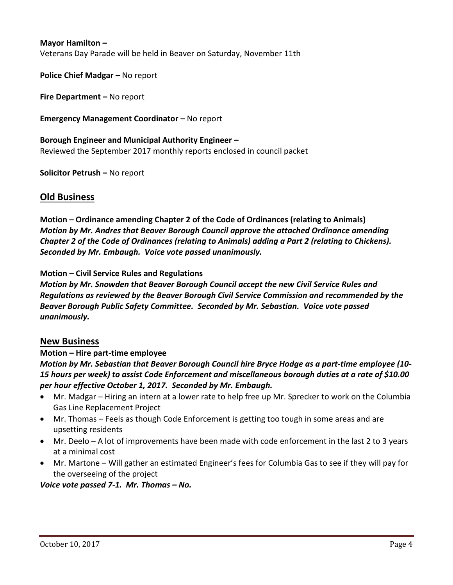#### **Mayor Hamilton –**

Veterans Day Parade will be held in Beaver on Saturday, November 11th

**Police Chief Madgar – No report** 

**Fire Department –** No report

**Emergency Management Coordinator – No report** 

# **Borough Engineer and Municipal Authority Engineer –** Reviewed the September 2017 monthly reports enclosed in council packet

**Solicitor Petrush –** No report

### **Old Business**

**Motion – Ordinance amending Chapter 2 of the Code of Ordinances (relating to Animals)** *Motion by Mr. Andres that Beaver Borough Council approve the attached Ordinance amending Chapter 2 of the Code of Ordinances (relating to Animals) adding a Part 2 (relating to Chickens). Seconded by Mr. Embaugh. Voice vote passed unanimously.*

#### **Motion – Civil Service Rules and Regulations**

*Motion by Mr. Snowden that Beaver Borough Council accept the new Civil Service Rules and Regulations as reviewed by the Beaver Borough Civil Service Commission and recommended by the Beaver Borough Public Safety Committee. Seconded by Mr. Sebastian. Voice vote passed unanimously.*

#### **New Business**

#### **Motion – Hire part-time employee**

*Motion by Mr. Sebastian that Beaver Borough Council hire Bryce Hodge as a part-time employee (10- 15 hours per week) to assist Code Enforcement and miscellaneous borough duties at a rate of \$10.00 per hour effective October 1, 2017. Seconded by Mr. Embaugh.* 

- Mr. Madgar Hiring an intern at a lower rate to help free up Mr. Sprecker to work on the Columbia Gas Line Replacement Project
- Mr. Thomas Feels as though Code Enforcement is getting too tough in some areas and are upsetting residents
- Mr. Deelo A lot of improvements have been made with code enforcement in the last 2 to 3 years at a minimal cost
- Mr. Martone Will gather an estimated Engineer's fees for Columbia Gas to see if they will pay for the overseeing of the project

*Voice vote passed 7-1. Mr. Thomas – No.*